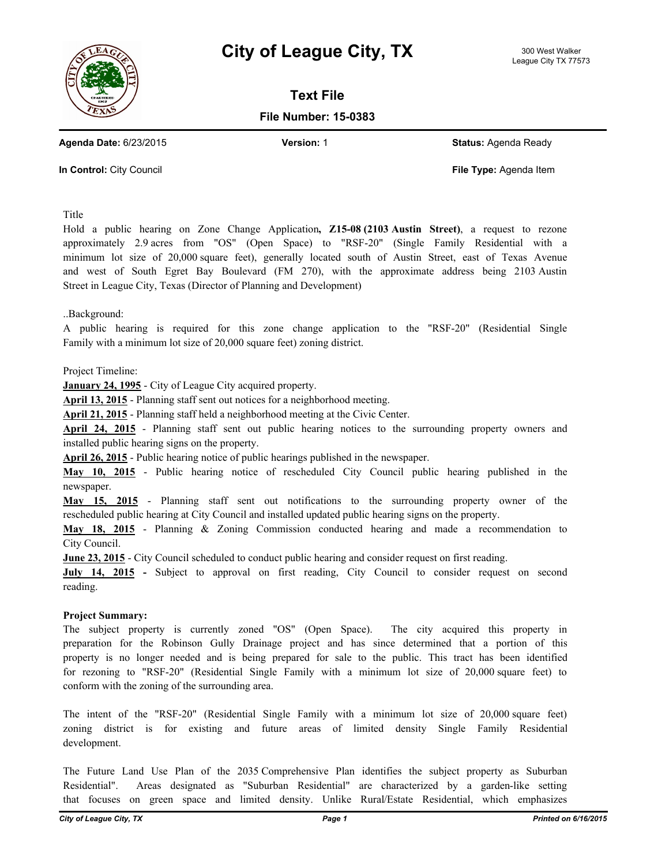



**Text File**

**File Number: 15-0383**

**Agenda Date:** 6/23/2015 **Version:** 1 **Status:** Agenda Ready

**In Control:** City Council **File Type:** Agenda Item

Title

Hold a public hearing on Zone Change Application**, Z15-08 (2103 Austin Street)**, a request to rezone approximately 2.9 acres from "OS" (Open Space) to "RSF-20" (Single Family Residential with a minimum lot size of 20,000 square feet), generally located south of Austin Street, east of Texas Avenue and west of South Egret Bay Boulevard (FM 270), with the approximate address being 2103 Austin Street in League City, Texas (Director of Planning and Development)

..Background:

A public hearing is required for this zone change application to the "RSF-20" (Residential Single Family with a minimum lot size of 20,000 square feet) zoning district.

Project Timeline:

**January 24, 1995** - City of League City acquired property.

**April 13, 2015** - Planning staff sent out notices for a neighborhood meeting.

**April 21, 2015** - Planning staff held a neighborhood meeting at the Civic Center.

**April 24, 2015** - Planning staff sent out public hearing notices to the surrounding property owners and installed public hearing signs on the property.

**April 26, 2015** - Public hearing notice of public hearings published in the newspaper.

**May 10, 2015** - Public hearing notice of rescheduled City Council public hearing published in the newspaper.

**May 15, 2015** - Planning staff sent out notifications to the surrounding property owner of the rescheduled public hearing at City Council and installed updated public hearing signs on the property.

**May 18, 2015** - Planning & Zoning Commission conducted hearing and made a recommendation to City Council.

**June 23, 2015** - City Council scheduled to conduct public hearing and consider request on first reading.

**July 14, 2015 -** Subject to approval on first reading, City Council to consider request on second reading.

## **Project Summary:**

The subject property is currently zoned "OS" (Open Space). The city acquired this property in preparation for the Robinson Gully Drainage project and has since determined that a portion of this property is no longer needed and is being prepared for sale to the public. This tract has been identified for rezoning to "RSF-20" (Residential Single Family with a minimum lot size of 20,000 square feet) to conform with the zoning of the surrounding area.

The intent of the "RSF-20" (Residential Single Family with a minimum lot size of 20,000 square feet) zoning district is for existing and future areas of limited density Single Family Residential development.

The Future Land Use Plan of the 2035 Comprehensive Plan identifies the subject property as Suburban Residential". Areas designated as "Suburban Residential" are characterized by a garden-like setting that focuses on green space and limited density. Unlike Rural/Estate Residential, which emphasizes